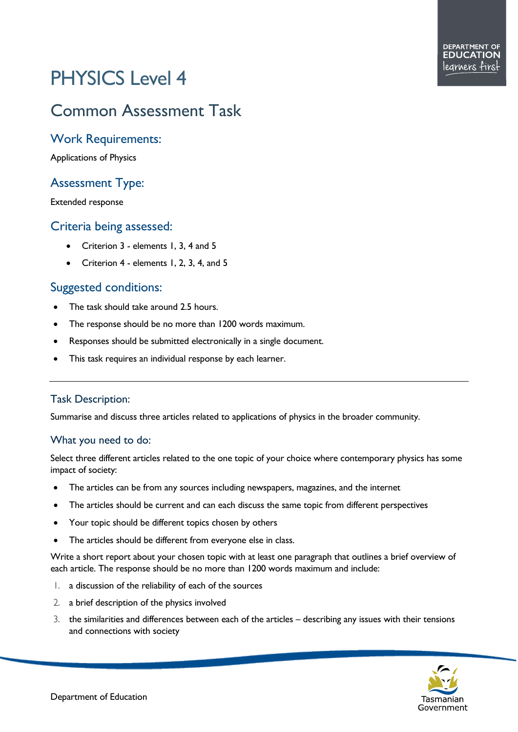# PHYSICS Level 4

## Common Assessment Task

#### Work Requirements:

Applications of Physics

#### Assessment Type:

Extended response

#### Criteria being assessed:

- Criterion 3 elements 1, 3, 4 and 5
- Criterion 4 elements 1, 2, 3, 4, and 5

### Suggested conditions:

- The task should take around 2.5 hours.
- The response should be no more than 1200 words maximum.
- Responses should be submitted electronically in a single document.
- This task requires an individual response by each learner.

#### Task Description:

Summarise and discuss three articles related to applications of physics in the broader community.

#### What you need to do:

Select three different articles related to the one topic of your choice where contemporary physics has some impact of society:

- The articles can be from any sources including newspapers, magazines, and the internet
- The articles should be current and can each discuss the same topic from different perspectives
- Your topic should be different topics chosen by others
- The articles should be different from everyone else in class.

Write a short report about your chosen topic with at least one paragraph that outlines a brief overview of each article. The response should be no more than 1200 words maximum and include:

- 1. a discussion of the reliability of each of the sources
- 2. a brief description of the physics involved
- 3. the similarities and differences between each of the articles describing any issues with their tensions and connections with society